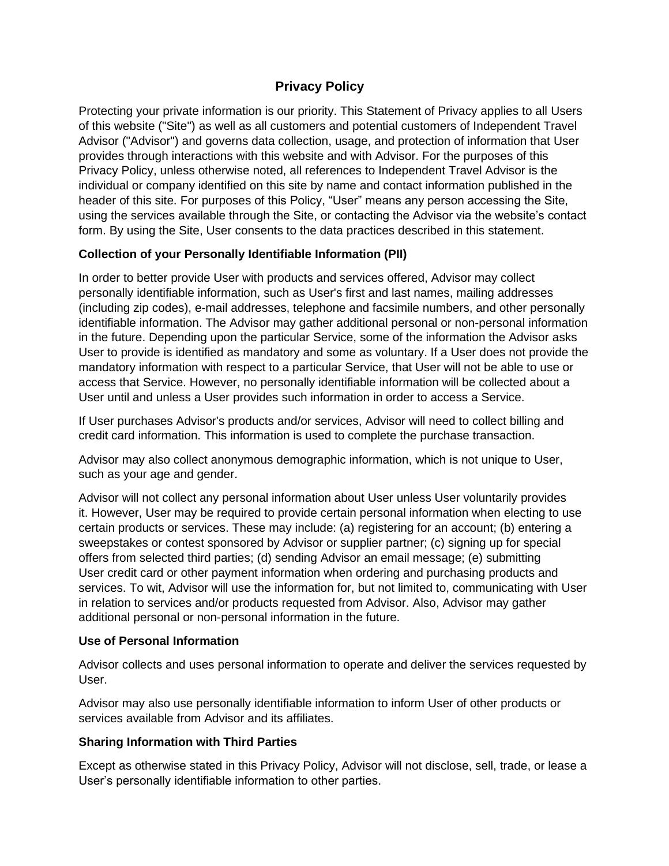# **Privacy Policy**

Protecting your private information is our priority. This Statement of Privacy applies to all Users of this website ("Site") as well as all customers and potential customers of Independent Travel Advisor ("Advisor") and governs data collection, usage, and protection of information that User provides through interactions with this website and with Advisor. For the purposes of this Privacy Policy, unless otherwise noted, all references to Independent Travel Advisor is the individual or company identified on this site by name and contact information published in the header of this site. For purposes of this Policy, "User" means any person accessing the Site, using the services available through the Site, or contacting the Advisor via the website's contact form. By using the Site, User consents to the data practices described in this statement.

## **Collection of your Personally Identifiable Information (PII)**

In order to better provide User with products and services offered, Advisor may collect personally identifiable information, such as User's first and last names, mailing addresses (including zip codes), e-mail addresses, telephone and facsimile numbers, and other personally identifiable information. The Advisor may gather additional personal or non-personal information in the future. Depending upon the particular Service, some of the information the Advisor asks User to provide is identified as mandatory and some as voluntary. If a User does not provide the mandatory information with respect to a particular Service, that User will not be able to use or access that Service. However, no personally identifiable information will be collected about a User until and unless a User provides such information in order to access a Service.

If User purchases Advisor's products and/or services, Advisor will need to collect billing and credit card information. This information is used to complete the purchase transaction.

Advisor may also collect anonymous demographic information, which is not unique to User, such as your age and gender.

Advisor will not collect any personal information about User unless User voluntarily provides it. However, User may be required to provide certain personal information when electing to use certain products or services. These may include: (a) registering for an account; (b) entering a sweepstakes or contest sponsored by Advisor or supplier partner; (c) signing up for special offers from selected third parties; (d) sending Advisor an email message; (e) submitting User credit card or other payment information when ordering and purchasing products and services. To wit, Advisor will use the information for, but not limited to, communicating with User in relation to services and/or products requested from Advisor. Also, Advisor may gather additional personal or non-personal information in the future.

# **Use of Personal Information**

Advisor collects and uses personal information to operate and deliver the services requested by User.

Advisor may also use personally identifiable information to inform User of other products or services available from Advisor and its affiliates.

#### **Sharing Information with Third Parties**

Except as otherwise stated in this Privacy Policy, Advisor will not disclose, sell, trade, or lease a User's personally identifiable information to other parties.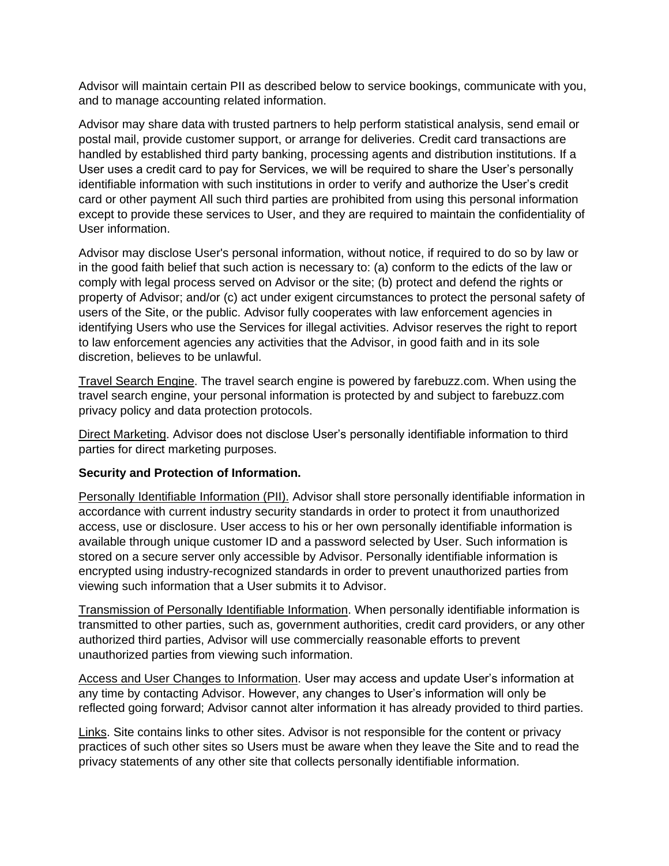Advisor will maintain certain PII as described below to service bookings, communicate with you, and to manage accounting related information.

Advisor may share data with trusted partners to help perform statistical analysis, send email or postal mail, provide customer support, or arrange for deliveries. Credit card transactions are handled by established third party banking, processing agents and distribution institutions. If a User uses a credit card to pay for Services, we will be required to share the User's personally identifiable information with such institutions in order to verify and authorize the User's credit card or other payment All such third parties are prohibited from using this personal information except to provide these services to User, and they are required to maintain the confidentiality of User information.

Advisor may disclose User's personal information, without notice, if required to do so by law or in the good faith belief that such action is necessary to: (a) conform to the edicts of the law or comply with legal process served on Advisor or the site; (b) protect and defend the rights or property of Advisor; and/or (c) act under exigent circumstances to protect the personal safety of users of the Site, or the public. Advisor fully cooperates with law enforcement agencies in identifying Users who use the Services for illegal activities. Advisor reserves the right to report to law enforcement agencies any activities that the Advisor, in good faith and in its sole discretion, believes to be unlawful.

Travel Search Engine. The travel search engine is powered by farebuzz.com. When using the travel search engine, your personal information is protected by and subject to farebuzz.com privacy policy and data protection protocols.

Direct Marketing. Advisor does not disclose User's personally identifiable information to third parties for direct marketing purposes.

#### **Security and Protection of Information.**

Personally Identifiable Information (PII). Advisor shall store personally identifiable information in accordance with current industry security standards in order to protect it from unauthorized access, use or disclosure. User access to his or her own personally identifiable information is available through unique customer ID and a password selected by User. Such information is stored on a secure server only accessible by Advisor. Personally identifiable information is encrypted using industry-recognized standards in order to prevent unauthorized parties from viewing such information that a User submits it to Advisor.

Transmission of Personally Identifiable Information. When personally identifiable information is transmitted to other parties, such as, government authorities, credit card providers, or any other authorized third parties, Advisor will use commercially reasonable efforts to prevent unauthorized parties from viewing such information.

Access and User Changes to Information. User may access and update User's information at any time by contacting Advisor. However, any changes to User's information will only be reflected going forward; Advisor cannot alter information it has already provided to third parties.

Links. Site contains links to other sites. Advisor is not responsible for the content or privacy practices of such other sites so Users must be aware when they leave the Site and to read the privacy statements of any other site that collects personally identifiable information.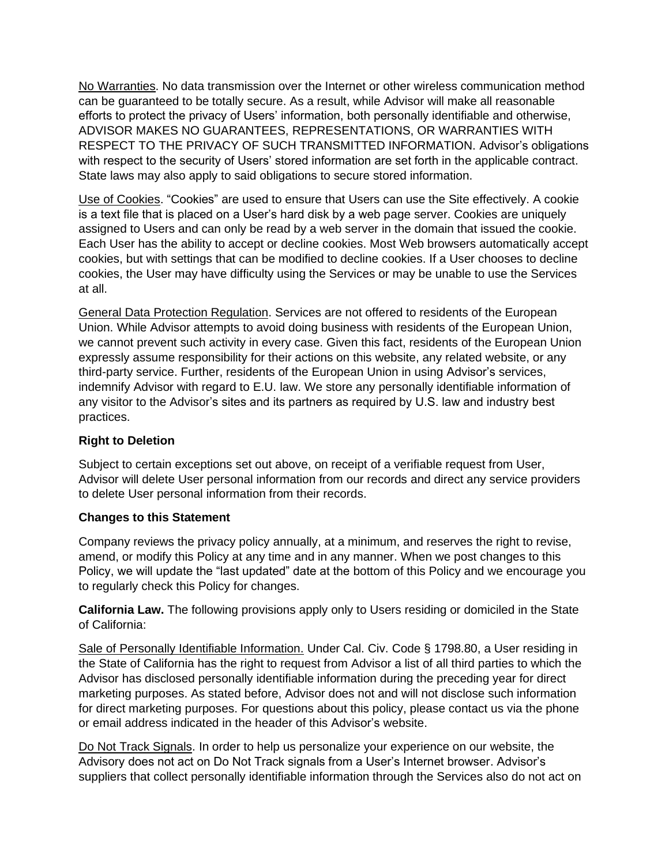No Warranties. No data transmission over the Internet or other wireless communication method can be guaranteed to be totally secure. As a result, while Advisor will make all reasonable efforts to protect the privacy of Users' information, both personally identifiable and otherwise, ADVISOR MAKES NO GUARANTEES, REPRESENTATIONS, OR WARRANTIES WITH RESPECT TO THE PRIVACY OF SUCH TRANSMITTED INFORMATION. Advisor's obligations with respect to the security of Users' stored information are set forth in the applicable contract. State laws may also apply to said obligations to secure stored information.

Use of Cookies. "Cookies" are used to ensure that Users can use the Site effectively. A cookie is a text file that is placed on a User's hard disk by a web page server. Cookies are uniquely assigned to Users and can only be read by a web server in the domain that issued the cookie. Each User has the ability to accept or decline cookies. Most Web browsers automatically accept cookies, but with settings that can be modified to decline cookies. If a User chooses to decline cookies, the User may have difficulty using the Services or may be unable to use the Services at all.

General Data Protection Regulation. Services are not offered to residents of the European Union. While Advisor attempts to avoid doing business with residents of the European Union, we cannot prevent such activity in every case. Given this fact, residents of the European Union expressly assume responsibility for their actions on this website, any related website, or any third-party service. Further, residents of the European Union in using Advisor's services, indemnify Advisor with regard to E.U. law. We store any personally identifiable information of any visitor to the Advisor's sites and its partners as required by U.S. law and industry best practices.

### **Right to Deletion**

Subject to certain exceptions set out above, on receipt of a verifiable request from User, Advisor will delete User personal information from our records and direct any service providers to delete User personal information from their records.

#### **Changes to this Statement**

Company reviews the privacy policy annually, at a minimum, and reserves the right to revise, amend, or modify this Policy at any time and in any manner. When we post changes to this Policy, we will update the "last updated" date at the bottom of this Policy and we encourage you to regularly check this Policy for changes.

**California Law.** The following provisions apply only to Users residing or domiciled in the State of California:

Sale of Personally Identifiable Information. Under Cal. Civ. Code § 1798.80, a User residing in the State of California has the right to request from Advisor a list of all third parties to which the Advisor has disclosed personally identifiable information during the preceding year for direct marketing purposes. As stated before, Advisor does not and will not disclose such information for direct marketing purposes. For questions about this policy, please contact us via the phone or email address indicated in the header of this Advisor's website.

Do Not Track Signals. In order to help us personalize your experience on our website, the Advisory does not act on Do Not Track signals from a User's Internet browser. Advisor's suppliers that collect personally identifiable information through the Services also do not act on